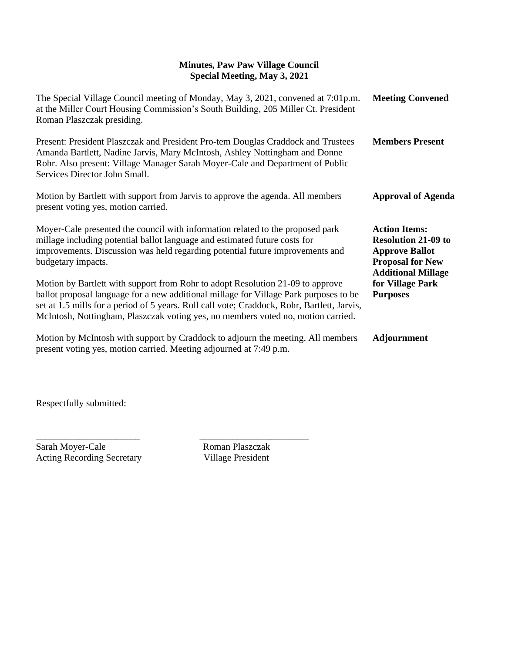## **Minutes, Paw Paw Village Council Special Meeting, May 3, 2021**

| The Special Village Council meeting of Monday, May 3, 2021, convened at 7:01p.m.<br>at the Miller Court Housing Commission's South Building, 205 Miller Ct. President<br>Roman Plaszczak presiding.                                                                                                                                                        | <b>Meeting Convened</b>                                                                                                             |
|------------------------------------------------------------------------------------------------------------------------------------------------------------------------------------------------------------------------------------------------------------------------------------------------------------------------------------------------------------|-------------------------------------------------------------------------------------------------------------------------------------|
| Present: President Plaszczak and President Pro-tem Douglas Craddock and Trustees<br>Amanda Bartlett, Nadine Jarvis, Mary McIntosh, Ashley Nottingham and Donne<br>Rohr. Also present: Village Manager Sarah Moyer-Cale and Department of Public<br>Services Director John Small.                                                                           | <b>Members Present</b>                                                                                                              |
| Motion by Bartlett with support from Jarvis to approve the agenda. All members<br>present voting yes, motion carried.                                                                                                                                                                                                                                      | <b>Approval of Agenda</b>                                                                                                           |
| Moyer-Cale presented the council with information related to the proposed park<br>millage including potential ballot language and estimated future costs for<br>improvements. Discussion was held regarding potential future improvements and<br>budgetary impacts.                                                                                        | <b>Action Items:</b><br><b>Resolution 21-09 to</b><br><b>Approve Ballot</b><br><b>Proposal for New</b><br><b>Additional Millage</b> |
| Motion by Bartlett with support from Rohr to adopt Resolution 21-09 to approve<br>ballot proposal language for a new additional millage for Village Park purposes to be<br>set at 1.5 mills for a period of 5 years. Roll call vote; Craddock, Rohr, Bartlett, Jarvis,<br>McIntosh, Nottingham, Plaszczak voting yes, no members voted no, motion carried. | for Village Park<br><b>Purposes</b>                                                                                                 |
| Motion by McIntosh with support by Craddock to adjourn the meeting. All members<br>present voting yes, motion carried. Meeting adjourned at 7:49 p.m.                                                                                                                                                                                                      | <b>Adjournment</b>                                                                                                                  |

Respectfully submitted:

Sarah Moyer-Cale Roman Plaszczak Acting Recording Secretary Village President

\_\_\_\_\_\_\_\_\_\_\_\_\_\_\_\_\_\_\_\_\_\_ \_\_\_\_\_\_\_\_\_\_\_\_\_\_\_\_\_\_\_\_\_\_\_